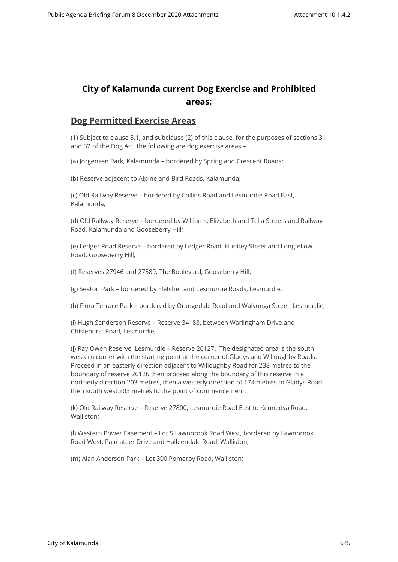## **City of Kalamunda current Dog Exercise and Prohibited areas:**

## **Dog Permitted Exercise Areas**

(1) Subject to clause 5.1, and subclause (2) of this clause, for the purposes of sections 31 and 32 of the Dog Act, the following are dog exercise areas –

(a) Jorgensen Park, Kalamunda – bordered by Spring and Crescent Roads;

(b) Reserve adjacent to Alpine and Bird Roads, Kalamunda;

(c) Old Railway Reserve – bordered by Collins Road and Lesmurdie Road East, Kalamunda;

(d) Old Railway Reserve – bordered by Williams, Elizabeth and Tella Streets and Railway Road, Kalamunda and Gooseberry Hill;

(e) Ledger Road Reserve – bordered by Ledger Road, Huntley Street and Longfellow Road, Gooseberry Hill;

(f) Reserves 27946 and 27589, The Boulevard, Gooseberry Hill;

(g) Seaton Park – bordered by Fletcher and Lesmurdie Roads, Lesmurdie;

(h) Flora Terrace Park – bordered by Orangedale Road and Walyunga Street, Lesmurdie;

(i) Hugh Sanderson Reserve – Reserve 34183, between Warlingham Drive and Chislehurst Road, Lesmurdie;

(j) Ray Owen Reserve, Lesmurdie – Reserve 26127. The designated area is the south western corner with the starting point at the corner of Gladys and Willoughby Roads. Proceed in an easterly direction adjacent to Willoughby Road for 238 metres to the boundary of reserve 26126 then proceed along the boundary of this reserve in a northerly direction 203 metres, then a westerly direction of 174 metres to Gladys Road then south west 203 metres to the point of commencement;

(k) Old Railway Reserve – Reserve 27800, Lesmurdie Road East to Kennedya Road, Walliston;

(l) Western Power Easement – Lot 5 Lawnbrook Road West, bordered by Lawnbrook Road West, Palmateer Drive and Halleendale Road, Walliston;

(m) Alan Anderson Park – Lot 300 Pomeroy Road, Walliston;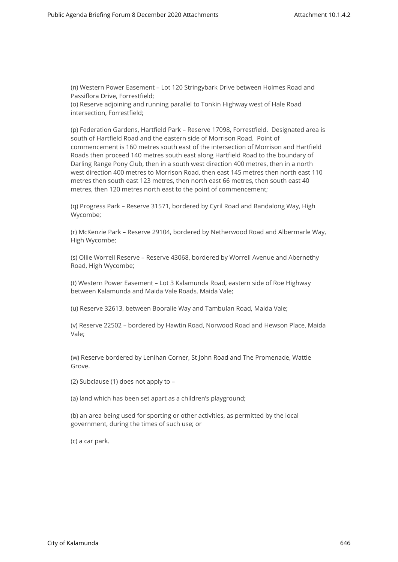(n) Western Power Easement – Lot 120 Stringybark Drive between Holmes Road and Passiflora Drive, Forrestfield; (o) Reserve adjoining and running parallel to Tonkin Highway west of Hale Road intersection, Forrestfield;

(p) Federation Gardens, Hartfield Park – Reserve 17098, Forrestfield. Designated area is south of Hartfield Road and the eastern side of Morrison Road. Point of commencement is 160 metres south east of the intersection of Morrison and Hartfield Roads then proceed 140 metres south east along Hartfield Road to the boundary of Darling Range Pony Club, then in a south west direction 400 metres, then in a north west direction 400 metres to Morrison Road, then east 145 metres then north east 110 metres then south east 123 metres, then north east 66 metres, then south east 40 metres, then 120 metres north east to the point of commencement;

(q) Progress Park – Reserve 31571, bordered by Cyril Road and Bandalong Way, High Wycombe;

(r) McKenzie Park – Reserve 29104, bordered by Netherwood Road and Albermarle Way, High Wycombe;

(s) Ollie Worrell Reserve – Reserve 43068, bordered by Worrell Avenue and Abernethy Road, High Wycombe;

(t) Western Power Easement – Lot 3 Kalamunda Road, eastern side of Roe Highway between Kalamunda and Maida Vale Roads, Maida Vale;

(u) Reserve 32613, between Booralie Way and Tambulan Road, Maida Vale;

(v) Reserve 22502 – bordered by Hawtin Road, Norwood Road and Hewson Place, Maida Vale;

(w) Reserve bordered by Lenihan Corner, St John Road and The Promenade, Wattle Grove.

(2) Subclause (1) does not apply to –

(a) land which has been set apart as a children's playground;

(b) an area being used for sporting or other activities, as permitted by the local government, during the times of such use; or

(c) a car park.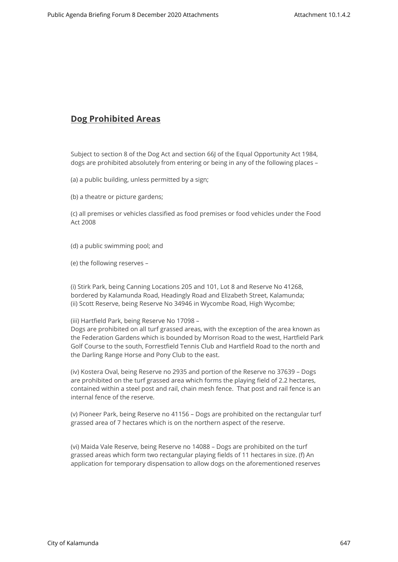## **Dog Prohibited Areas**

Subject to section 8 of the Dog Act and section 66J of the Equal Opportunity Act 1984, dogs are prohibited absolutely from entering or being in any of the following places –

(a) a public building, unless permitted by a sign;

(b) a theatre or picture gardens;

(c) all premises or vehicles classified as food premises or food vehicles under the Food Act 2008

- (d) a public swimming pool; and
- (e) the following reserves –

(i) Stirk Park, being Canning Locations 205 and 101, Lot 8 and Reserve No 41268, bordered by Kalamunda Road, Headingly Road and Elizabeth Street, Kalamunda; (ii) Scott Reserve, being Reserve No 34946 in Wycombe Road, High Wycombe;

(iii) Hartfield Park, being Reserve No 17098 –

Dogs are prohibited on all turf grassed areas, with the exception of the area known as the Federation Gardens which is bounded by Morrison Road to the west, Hartfield Park Golf Course to the south, Forrestfield Tennis Club and Hartfield Road to the north and the Darling Range Horse and Pony Club to the east.

(iv) Kostera Oval, being Reserve no 2935 and portion of the Reserve no 37639 – Dogs are prohibited on the turf grassed area which forms the playing field of 2.2 hectares, contained within a steel post and rail, chain mesh fence. That post and rail fence is an internal fence of the reserve.

(v) Pioneer Park, being Reserve no 41156 – Dogs are prohibited on the rectangular turf grassed area of 7 hectares which is on the northern aspect of the reserve.

(vi) Maida Vale Reserve, being Reserve no 14088 – Dogs are prohibited on the turf grassed areas which form two rectangular playing fields of 11 hectares in size. (f) An application for temporary dispensation to allow dogs on the aforementioned reserves